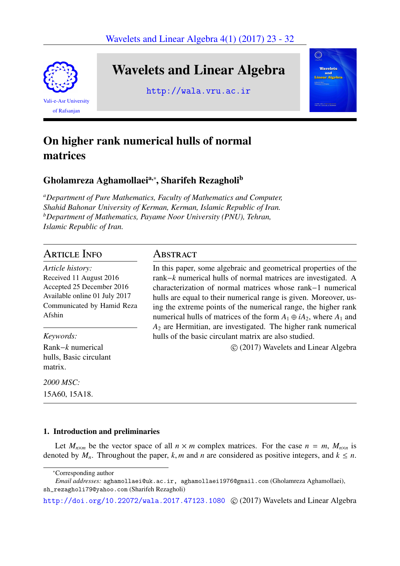Wavelets and Linear Algebra 4(1) (2017) 23 - 32



# Wavelets and Linear Algebra

http://wala.vru.ac.ir



## On higher rank numerical hulls of normal matrices

## Gholamreza Aghamollaeiª,\*, Sharifeh Rezagholi<sup>b</sup>

*<sup>a</sup>Department of Pure Mathematics, Faculty of Mathematics and Computer, Shahid Bahonar University of Kerman, Kerman, Islamic Republic of Iran. <sup>b</sup>Department of Mathematics, Payame Noor University (PNU), Tehran, Islamic Republic of Iran.*

### Article Info

*Article history:* Received 11 August 2016 Accepted 25 December 2016 Available online 01 July 2017 Communicated by Hamid Reza Afshin

*Keywords:*

Rank−*k* numerical hulls, Basic circulant matrix.

*2000 MSC:* 15A60, 15A18.

### Abstract

In this paper, some algebraic and geometrical properties of the rank−*k* numerical hulls of normal matrices are investigated. A characterization of normal matrices whose rank−1 numerical hulls are equal to their numerical range is given. Moreover, using the extreme points of the numerical range, the higher rank numerical hulls of matrices of the form  $A_1 \oplus iA_2$ , where  $A_1$  and *A*<sup>2</sup> are Hermitian, are investigated. The higher rank numerical hulls of the basic circulant matrix are also studied.

⃝c (2017) Wavelets and Linear Algebra

### 1. Introduction and preliminaries

Let  $M_{n\times m}$  be the vector space of all  $n \times m$  complex matrices. For the case  $n = m$ ,  $M_{n\times n}$  is denoted by  $M_n$ . Throughout the paper,  $k, m$  and  $n$  are considered as positive integers, and  $k \leq n$ .

http://doi.org/10.22072/wala.2017.47123.1080 © (2017) Wavelets and Linear Algebra

<sup>∗</sup>Corresponding author

*Email addresses:* aghamollaei@uk.ac.ir, aghamollaei1976@gmail.com (Gholamreza Aghamollaei), sh\_rezagholi79@yahoo.com (Sharifeh Rezagholi)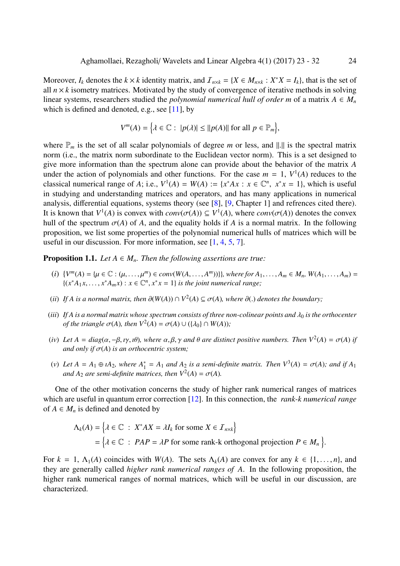Moreover,  $I_k$  denotes the  $k \times k$  identity matrix, and  $\mathcal{I}_{n \times k} = \{X \in M_{n \times k} : X^*X = I_k\}$ , that is the set of all  $n \times k$  isometry matrices. Motivated by the study of convergence of iterative methods in solving linear systems, researchers studied the *polynomial numerical hull of order m* of a matrix  $A \in M_n$ which is defined and denoted, e.g., see  $[11]$ , by

$$
V^m(A) = \left\{ \lambda \in \mathbb{C} : \ |p(\lambda)| \le ||p(A)|| \text{ for all } p \in \mathbb{P}_m \right\},\
$$

where P*<sup>m</sup>* is the set of all scalar polyn[om](#page-9-0)ials of degree *m* or less, and ∥.∥ is the spectral matrix norm (i.e., the matrix norm subordinate to the Euclidean vector norm). This is a set designed to give more information than the spectrum alone can provide about the behavior of the matrix *A* under the action of polynomials and other functions. For the case  $m = 1$ ,  $V^1(A)$  reduces to the classical numerical range of *A*; i.e.,  $V^1(A) = W(A) := \{x^*Ax : x \in \mathbb{C}^n, x^*x = 1\}$ , which is useful in studying and understanding matrices and operators, and has many applications in numerical analysis, differential equations, systems theory (see [8], [9, Chapter 1] and refrences cited there). It is known that  $V^1(A)$  is convex with  $conv(\sigma(A)) \subseteq V^1(A)$ , where  $conv(\sigma(A))$  denotes the convex hull of the spectrum  $\sigma(A)$  of *A*, and the equality holds if *A* is a normal matrix. In the following proposition, we list some properties of the polynomi[al](#page-9-1) n[um](#page-9-2)erical hulls of matrices which will be useful in our discussion. For more information, see [1, 4, 5, 7].

**Proposition 1.1.** *Let*  $A \in M_n$ *. Then the following assertions are true:* 

- (i)  $\{V^m(A) = \{\mu \in \mathbb{C} : (\mu, \dots, \mu^m) \in conv(W(A, \dots, A^m))\}\}\$  $\{V^m(A) = \{\mu \in \mathbb{C} : (\mu, \dots, \mu^m) \in conv(W(A, \dots, A^m))\}\}\$  $\{V^m(A) = \{\mu \in \mathbb{C} : (\mu, \dots, \mu^m) \in conv(W(A, \dots, A^m))\}\}\$ , [wh](#page-9-5)[er](#page-9-6)e for  $A_1, \dots, A_m \in M_n$ ,  $W(A_1, \dots, A_m) =$  $\{(x^*A_1x, \ldots, x^*A_mx): x \in \mathbb{C}^n, x^*x = 1\}$  *is the joint numerical range;*
- <span id="page-1-0"></span>(*ii*) *If A is a normal matrix, then*  $\partial(W(A)) \cap V^2(A) \subseteq \sigma(A)$ *, where*  $\partial(.)$  *denotes the boundary*;
- (*iii*) If A is a normal matrix whose spectrum consists of three non-colinear points and  $\lambda_0$  is the orthocenter *of the triangle*  $\sigma(A)$ *, then*  $V^2(A) = \sigma(A) \cup (\{\lambda_0\} \cap W(A))$ *;*
- (*iv*) Let  $A = diag(\alpha, -\beta, i\gamma, i\theta)$ , where  $\alpha, \beta, \gamma$  and  $\theta$  are distinct positive numbers. Then  $V^2(A) = \sigma(A)$  if *and only if*  $\sigma(A)$  *is an orthocentric system;*
- (*v*) Let  $A = A_1 \oplus iA_2$ , where  $A_1^*$  $\sigma_1^* = A_1$  *and*  $A_2$  *is a semi-definite matrix. Then*  $V^3(A) = \sigma(A)$ *; and if*  $A_1$ *and*  $A_2$  *are semi-definite matrices, then*  $V^2(A) = \sigma(A)$ *.*

One of the other motivation concerns the study of higher rank numerical ranges of matrices which are useful in quantum error correction [12]. In this connection, the *rank-k numerical range* of  $A \in M_n$  is defined and denoted by

$$
\Lambda_k(A) = \left\{ \lambda \in \mathbb{C} : X^*AX = \lambda I_k \text{ for some } X \in \mathcal{I}_{n \times k} \right\}
$$
  
= 
$$
\left\{ \lambda \in \mathbb{C} : PAP = \lambda P \text{ for some rank-k orthogonal projection } P \in M_n \right\}.
$$

For  $k = 1, \Lambda_1(A)$  coincides with  $W(A)$ . The sets  $\Lambda_k(A)$  are convex for any  $k \in \{1, \ldots, n\}$ , and they are generally called *higher rank numerical ranges of A*. In the following proposition, the higher rank numerical ranges of normal matrices, which will be useful in our discussion, are characterized.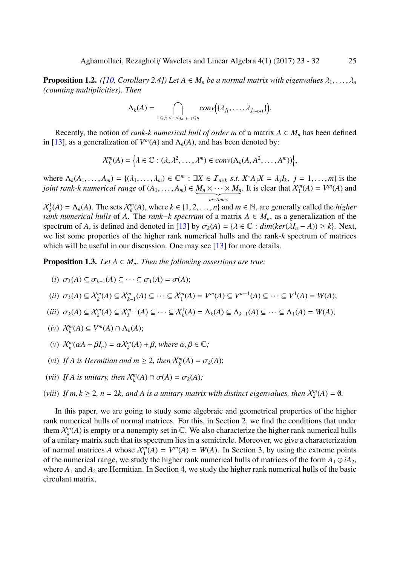**Proposition 1.2.** *([10, Corollary 2.4]) Let*  $A \in M_n$  *be a normal matrix with eigenvalues*  $\lambda_1, \ldots, \lambda_n$ *(counting multiplicities). Then*

$$
\Lambda_k(A) = \bigcap_{1 \leq j_1 < \cdots < j_{n-k+1} \leq n} conv\big(\{\lambda_{j_1}, \ldots, \lambda_{j_{n-k+1}}\}\big).
$$

<span id="page-2-1"></span>Recently, the notion of *rank-k numerical hull of order m* of a matrix  $A \in M_n$  has been defined in [13], as a generalization of  $V^m(A)$  and  $\Lambda_k(A)$ , and has been denoted by:

$$
\mathcal{X}_k^m(A) = \Big\{\lambda \in \mathbb{C} : (\lambda, \lambda^2, \dots, \lambda^m) \in conv(\Lambda_k(A, A^2, \dots, A^m))\Big\},\
$$

wh[ere](#page-9-8)  $\Lambda_k(A_1,\ldots,A_m) = \{(\lambda_1,\ldots,\lambda_m) \in \mathbb{C}^m : \exists X \in \mathcal{I}_{n \times k} \text{ s.t. } X^*A_jX = \lambda_jI_k, j = 1,\ldots,m\}$  is the *joint rank-k numerical range* of  $(A_1, \ldots, A_m) \in M_n \times \cdots \times M_n$ | {z } *m*−*times* . It is clear that  $X_1^m(A) = V^m(A)$  and

 $X_k^1(A) = \Lambda_k(A)$ . The sets  $X_k^m(A)$ , where  $k \in \{1, 2, ..., n\}$  and  $m \in \mathbb{N}$ , are generally called the *higher rank numerical hulls* of *A*. The *rank*−*k spectrum* of a matrix *A* ∈ *Mn*, as a generalization of the spectrum of *A*, is defined and denoted in [13] by  $\sigma_k(A) = \{ \lambda \in \mathbb{C} : dim(ker(\lambda I_n - A)) \geq k \}$ . Next, we list some properties of the higher rank numerical hulls and the rank-*k* spectrum of matrices which will be useful in our discussion. One may see [13] for more details.

**Proposition 1.3.** *Let*  $A \in M_n$ *. Then the fo[llow](#page-9-8)ing assertions are true:* 

$$
(i) \ \sigma_k(A) \subseteq \sigma_{k-1}(A) \subseteq \cdots \subseteq \sigma_1(A) = \sigma(A);
$$

<span id="page-2-0"></span>
$$
(ii) \ \ \sigma_k(A) \subseteq \mathcal{X}_k^m(A) \subseteq \mathcal{X}_{k-1}^m(A) \subseteq \cdots \subseteq \mathcal{X}_1^m(A) = V^m(A) \subseteq V^{m-1}(A) \subseteq \cdots \subseteq V^1(A) = W(A);
$$

- $(iii)$   $\sigma_k(A) \subseteq \mathcal{X}_k^m(A) \subseteq \mathcal{X}_k^{m-1}(A) \subseteq \cdots \subseteq \mathcal{X}_k^1(A) = \Lambda_k(A) \subseteq \Lambda_{k-1}(A) \subseteq \cdots \subseteq \Lambda_1(A) = W(A);$
- $\chi_k^m(A) \subseteq V^m(A) \cap \Lambda_k(A);$
- (*v*)  $X_k^m(\alpha A + \beta I_n) = \alpha X_k^m(A) + \beta$ , where  $\alpha, \beta \in \mathbb{C}$ ;
- (*vi*) *If A is Hermitian and*  $m \geq 2$ , then  $\mathcal{X}_{k}^{m}(A) = \sigma_{k}(A);$
- (*vii*) *If A is unitary, then*  $\mathcal{X}_k^m(A) \cap \sigma(A) = \sigma_k(A)$ ;
- (*viii*) *If*  $m, k \ge 2$ ,  $n = 2k$ , and A is a unitary matrix with distinct eigenvalues, then  $X_k^m(A) = \emptyset$ .

In this paper, we are going to study some algebraic and geometrical properties of the higher rank numerical hulls of normal matrices. For this, in Section 2, we find the conditions that under them  $\mathcal{X}_k^m(A)$  is empty or a nonempty set in  $\mathbb{C}$ . We also characterize the higher rank numerical hulls of a unitary matrix such that its spectrum lies in a semicircle. Moreover, we give a characterization of normal matrices *A* whose  $\mathcal{X}_1^m(A) = V^m(A) = W(A)$ . In Section 3, by using the extreme points of the numerical range, we study the higher rank numerical hulls of matrices of the form  $A_1 \oplus iA_2$ , where  $A_1$  and  $A_2$  are Hermitian. In Section 4, we study the higher rank numerical hulls of the basic circulant matrix.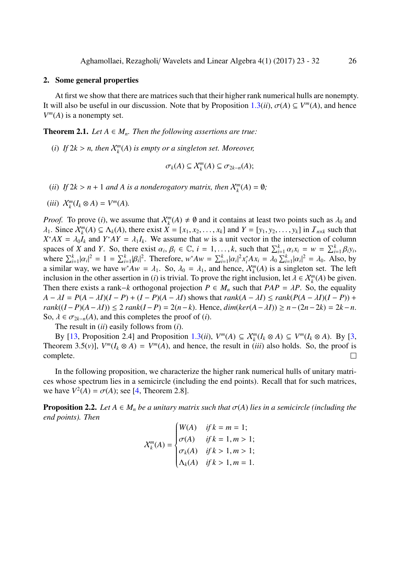#### 2. Some general properties

At first we show that there are matrices such that their higher rank numerical hulls are nonempty. It will also be useful in our discussion. Note that by Proposition  $1.3(ii)$ ,  $\sigma(A) \subseteq V^m(A)$ , and hence  $V^m(A)$  is a nonempty set.

**Theorem 2.1.** *Let*  $A \in M_n$ *. Then the following assertions are true:* 

(*i*) If  $2k > n$ , then  $\mathcal{X}_k^m(A)$  is empty or a singleton set. Moreover,

$$
\sigma_k(A) \subseteq \mathcal{X}_k^m(A) \subseteq \sigma_{2k-n}(A);
$$

- (*ii*) *If*  $2k > n + 1$  *and A is a nonderogatory matrix, then*  $X_k^m(A) = \emptyset$ ;
- $(iii)$   $\mathcal{X}_k^m(I_k \otimes A) = V^m(A)$ .

*Proof.* To prove (*i*), we assume that  $\mathcal{X}_k^m(A) \neq \emptyset$  and it contains at least two points such as  $\lambda_0$  and  $\lambda_1$ . Since  $\mathcal{X}_k^m(A) \subseteq \Lambda_k(A)$ , there exist  $X = [x_1, x_2, \dots, x_k]$  and  $Y = [y_1, y_2, \dots, y_k]$  in  $\mathcal{I}_{n \times k}$  such that  $X^*AX = \lambda_0 I_k$  and  $Y^*AY = \lambda_1 I_k$ . We assume that *w* is a unit vector in the intersection of column spaces of X and Y. So, there exist  $\alpha_i, \beta_i \in \mathbb{C}$ ,  $i = 1, ..., k$ , such that  $\sum_{i=1}^k \alpha_i x_i = w = \sum_{i=1}^k \beta_i y_i$ , where  $\sum_{i=1}^{k} |\alpha_i|^2 = 1 = \sum_{i=1}^{k} |\beta_i|^2$ . Therefore,  $w^* A w = \sum_{i=1}^{k} |\alpha_i|^2 x_i^* A x_i = \lambda_0 \sum_{i=1}^{k} |\alpha_i|^2 = \lambda_0$ . Also, by | | a similar way, we have  $w^*Aw = \lambda_1$ . So,  $\lambda_0 = \lambda_1$ , and hence,  $\chi_k^m(A)$  is a singleton set. The left inclusion in the other assertion in (*i*) is trivial. To prove the right inclusion, let  $\lambda \in \mathcal{X}_k^m(A)$  be given. Then there exists a rank–*k* orthogonal projection  $P \in M_n$  such that  $PAP = \lambda P$ . So, the equality  $A - \lambda I = P(A - \lambda I)(I - P) + (I - P)(A - \lambda I)$  shows that  $rank(A - \lambda I) \leq rank(P(A - \lambda I)(I - P)) +$ *rank*((*I* − *P*)(*A* −  $\lambda$ *I*)) ≤ 2 *rank*(*I* − *P*) = 2(*n* − *k*). Hence,  $dim(ker(A - \lambda I)) \ge n - (2n - 2k) = 2k - n$ . So,  $\lambda \in \sigma_{2k-n}(A)$ , and this completes the proof of (*i*).

The result in (*ii*) easily follows from (*i*).

By [13, Proposition 2.4] and Proposition 1.3(*ii*),  $V^m(A) \subseteq \mathcal{X}_k^m(I_k \otimes A) \subseteq V^m(I_k \otimes A)$ . By [3, Theorem 3.5(*v*)],  $V^m(I_k \otimes A) = V^m(A)$ , and hence, the result in *(iii)* also holds. So, the proof is complete.  $\Box$ 

In t[he f](#page-9-8)ollowing proposition, we character[ize](#page-2-0) the higher rank numerical hulls of unitary mat[ri](#page-9-9)ces whose spectrum lies in a semicircle (including the end points). Recall that for such matrices, we have  $V^2(A) = \sigma(A)$ ; see [4, Theorem 2.8].

**Proposition 2.2.** *Let*  $A \in M_n$  *be a unitary matrix such that*  $\sigma(A)$  *lies in a semicircle (including the end points). Then*

$$
\chi_{k}^{m}(A) = \begin{cases} W(A) & \text{if } k = m = 1; \\ \sigma(A) & \text{if } k = 1, m > 1; \\ \sigma_{k}(A) & \text{if } k > 1, m > 1; \\ \Lambda_{k}(A) & \text{if } k > 1, m = 1. \end{cases}
$$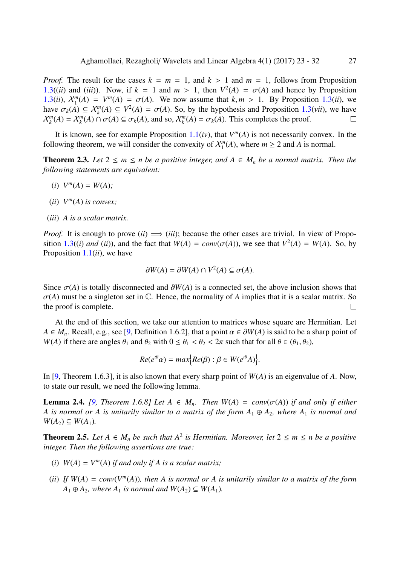*Proof.* The result for the cases  $k = m = 1$ , and  $k > 1$  and  $m = 1$ , follows from Proposition 1.3((*ii*) and (*iii*)). Now, if  $k = 1$  and  $m > 1$ , then  $V^2(A) = \sigma(A)$  and hence by Proposition 1.3(*ii*),  $X_1^m(A) = V^m(A) = \sigma(A)$ . We now assume that  $k, m > 1$ . By Proposition 1.3(*ii*), we have  $\sigma_k(A) \subseteq \mathcal{X}_k^m(A) \subseteq V^2(A) = \sigma(A)$ . So, by the hypothesis and Proposition 1.3(*vii*), we have  $\mathcal{X}_k^m(A) = \mathcal{X}_k^m(A) \cap \sigma(A) \subseteq \sigma_k(A)$  $\mathcal{X}_k^m(A) = \mathcal{X}_k^m(A) \cap \sigma(A) \subseteq \sigma_k(A)$  $\mathcal{X}_k^m(A) = \mathcal{X}_k^m(A) \cap \sigma(A) \subseteq \sigma_k(A)$ , and so,  $\mathcal{X}_k^m(A) = \sigma_k(A)$ . This completes the proof.  $\Box$ 

It is known, see for example Proposition  $1.1(iv)$ , that  $V^m(A)$  is not necessarily con[vex](#page-2-0). In the following theorem, we will consider the convexity of  $\mathcal{X}_1^m(A)$ , where  $m \geq 2$  and A [is n](#page-2-0)ormal.

**Theorem 2.3.** Let  $2 \le m \le n$  be a positive integer, and  $A \in M_n$  be a normal matrix. Then the *following statements are equivalent:*

- <span id="page-4-0"></span>(*i*)  $V^m(A) = W(A);$
- (*ii*)  $V^m(A)$  *is convex*;
- (*iii*) *A is a scalar matrix.*

*Proof.* It is enough to prove  $(ii) \implies (iii)$ ; because the other cases are trivial. In view of Proposition 1.3((*i*) *and* (*ii*)), and the fact that  $W(A) = conv(\sigma(A))$ , we see that  $V^2(A) = W(A)$ . So, by Proposition 1.1(*ii*), we have

$$
\partial W(A) = \partial W(A) \cap V^2(A) \subseteq \sigma(A).
$$

Since  $\sigma(A)$  [is to](#page-1-0)tally disconnected and  $\partial W(A)$  is a connected set, the above inclusion shows that  $\sigma(A)$  must be a singleton set in  $\mathbb C$ . Hence, the normality of A implies that it is a scalar matrix. So the proof is complete.  $\Box$ 

At the end of this section, we take our attention to matrices whose square are Hermitian. Let  $A \in M_n$ . Recall, e.g., see [9, Definition 1.6.2], that a point  $\alpha \in \partial W(A)$  is said to be a sharp point of *W*(*A*) if there are angles  $\theta_1$  and  $\theta_2$  with  $0 \le \theta_1 < \theta_2 < 2\pi$  such that for all  $\theta \in (\theta_1, \theta_2)$ ,

$$
Re(e^{i\theta}\alpha) = max\{Re(\beta) : \beta \in W(e^{i\theta}A)\}.
$$

In [9, Theorem 1.6.3], it is also known that every sharp point of *W*(*A*) is an eigenvalue of *A*. Now, to state our result, we need the following lemma.

**Lemma 2.4.** *[9, Theorem 1.6.8] Let*  $A \in M_n$ *. Then*  $W(A) = conv(\sigma(A))$  *if and only if either A i[s](#page-9-2) normal or A is unitarily similar to a matrix of the form*  $A_1 \oplus A_2$ *, where*  $A_1$  *is normal and*  $W(A_2) \subseteq W(A_1)$ .

<span id="page-4-1"></span>**Theorem 2.5.** [L](#page-9-2)et  $A \in M_n$  be such that  $A^2$  is Hermitian. Moreover, let  $2 \le m \le n$  be a positive *integer. Then the following assertions are true:*

- (*i*)  $W(A) = V^m(A)$  *if and only if A is a scalar matrix;*
- (*ii*) If  $W(A) = conv(V^m(A))$ , then A is normal or A is unitarily similar to a matrix of the form  $A_1 \oplus A_2$ , where  $A_1$  *is normal and*  $W(A_2) \subseteq W(A_1)$ *.*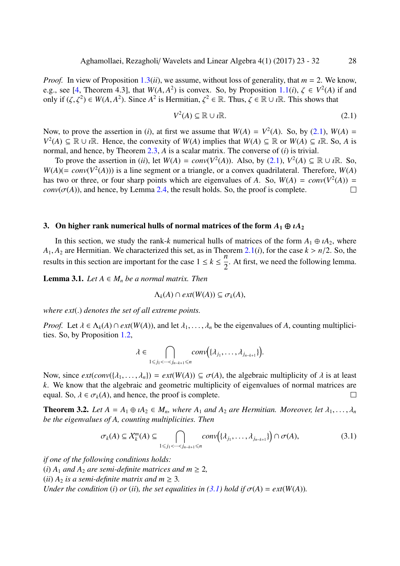*Proof.* In view of Proposition 1.3(*ii*), we assume, without loss of generality, that  $m = 2$ . We know, e.g., see [4, Theorem 4.3], that  $W(A, A^2)$  is convex. So, by Proposition 1.1(*i*),  $\zeta \in V^2(A)$  if and only if  $(\zeta, \zeta^2) \in W(A, A^2)$ . Since  $A^2$  is Hermitian,  $\zeta^2 \in \mathbb{R}$ . Thus,  $\zeta \in \mathbb{R} \cup i\mathbb{R}$ . This shows that

<span id="page-5-0"></span>
$$
V^2(A) \subseteq \mathbb{R} \cup \mathbf{R}.\tag{2.1}
$$

Now, to prove the assertion in (*i*), at first we assume that  $W(A) = V^2(A)$ . So, by (2.1),  $W(A) =$ *V*<sup>2</sup>(*A*) ⊆ ℝ ∪ *i*ℝ. Hence, the convexity of *W*(*A*) implies that *W*(*A*) ⊆ ℝ or *W*(*A*) ⊆ *i*ℝ. So, *A* is normal, and hence, by Theorem 2.3, *A* is a scalar matrix. The converse of (*i*) is trivial.

To prove the assertion in (*ii*), let  $W(A) = conv(V^2(A))$ . Also, by (2.1),  $V^2(A) \subseteq \mathbb{R} \cup i\mathbb{R}$  $V^2(A) \subseteq \mathbb{R} \cup i\mathbb{R}$  $V^2(A) \subseteq \mathbb{R} \cup i\mathbb{R}$ . So,  $W(A)$ (= *conv*( $V^2(A)$ )) is a line segment or a triangle, or a convex quadrilateral. Therefore,  $W(A)$ has two or three, or four sharp [poin](#page-4-0)ts which are eigenvalues of *A*. So,  $W(A) = conv(V^2(A)) =$  $conv(\sigma(A))$ , and hence, by Lemma 2.4, the result holds. So, the proof [is co](#page-5-0)mplete.  $\Box$ 

#### 3. On higher rank numerical h[ulls o](#page-4-1)f normal matrices of the form  $A_1 \oplus iA_2$

In this section, we study the rank-*k* numerical hulls of matrices of the form  $A_1 \oplus iA_2$ , where  $A_1, A_2$  are Hermitian. We characterized this set, as in Theorem 2.1(*i*), for the case  $k > n/2$ . So, the results in this section are important for the case  $1 \le k \le \frac{n}{2}$ 2 . At first, we need the following lemma.

**Lemma 3.1.** *Let*  $A \in M_n$  *be a normal matrix. Then* 

$$
\Lambda_k(A) \cap ext(W(A)) \subseteq \sigma_k(A),
$$

<span id="page-5-1"></span>*where ext*(.) *denotes the set of all extreme points.*

*Proof.* Let  $\lambda \in \Lambda_k(A) \cap ext(W(A))$ , and let  $\lambda_1, \ldots, \lambda_n$  be the eigenvalues of A, counting multiplicities. So, by Proposition 1.2,

$$
\lambda \in \bigcap_{1 \leq j_1 < \dots < j_{n-k+1} \leq n} conv(\{\lambda_{j_1}, \dots, \lambda_{j_{n-k+1}}\}).
$$

Now, since  $ext(conv({\lambda_1},..., {\lambda_n}) = ext(W(A)) \subseteq \sigma(A)$ , the algebraic multiplicity of  $\lambda$  is at least *k*. We know that the algebraic and geometric multiplicity of eigenvalues of normal matrices are equal. So,  $\lambda \in \sigma_k(A)$ , and hence, the proof is complete.  $\Box$ 

**Theorem 3.2.** Let  $A = A_1 \oplus iA_2 \in M_n$ , where  $A_1$  and  $A_2$  are Hermitian. Moreover, let  $\lambda_1, \ldots, \lambda_n$ *be the eigenvalues of A, counting multiplicities. Then*

$$
\sigma_k(A) \subseteq \mathcal{X}_k^m(A) \subseteq \bigcap_{1 \le j_1 < \dots < j_{n-k+1} \le n} conv\big(\{\lambda_{j_1}, \dots, \lambda_{j_{n-k+1}}\}\big) \cap \sigma(A),\tag{3.1}
$$

*if one of the following conditions holds:*

(*i*)  $A_1$  *and*  $A_2$  *are semi-definite matrices and*  $m \geq 2$ ,

(*ii*)  $A_2$  *is a semi-definite matrix and*  $m \geq 3$ .

*Under the condition* (*i*) *or* (*ii*)*, the set equalities in* (3.1) *hold if*  $\sigma(A) = ext(W(A))$ *.*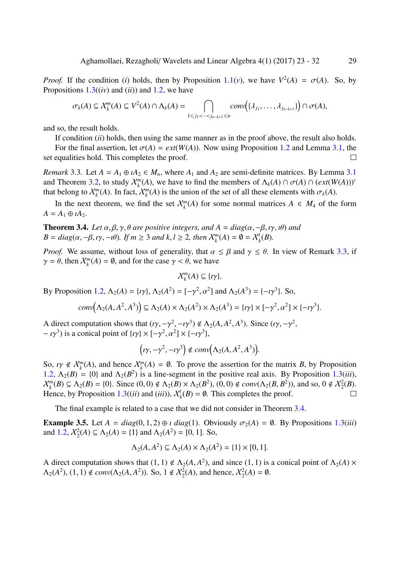*Proof.* If the condition (*i*) holds, then by Proposition 1.1(*v*), we have  $V^2(A) = \sigma(A)$ . So, by Propositions  $1.3(iv)$  and  $(ii)$  and  $1.2$ , we have

$$
\sigma_k(A) \subseteq \mathcal{X}_k^m(A) \subseteq V^2(A) \cap \Lambda_k(A) = \bigcap_{1 \leq j_1 < \cdots < j_{n-k+1} \leq n} conv\big(\{\lambda_{j_1}, \ldots, \lambda_{j_{n-k+1}}\}\big) \cap \sigma(A),
$$

and so, the r[esul](#page-2-0)t holds.

If condition (*ii*) holds, then using the same manner as in the proof above, the result also holds.

For the final assertion, let  $\sigma(A) = ext(W(A))$ . Now using Proposition 1.2 and Lemma 3.1, the set equalities hold. This completes the proof. □

*Remark* 3.3. Let  $A = A_1 \oplus iA_2 \in M_n$ , where  $A_1$  and  $A_2$  are semi-definite matrices. By Lemma 3.1 and Theorem 3.2, to study  $\mathcal{X}_k^m(A)$ , we have to find the members of  $\Lambda_k(A) \cap \sigma(A) \cap (ext(W(A)))^c$  $\Lambda_k(A) \cap \sigma(A) \cap (ext(W(A)))^c$  $\Lambda_k(A) \cap \sigma(A) \cap (ext(W(A)))^c$ that belong to  $\mathcal{X}_k^m(A)$ . In fact,  $\mathcal{X}_k^m(A)$  is the union of the set of all these elements with  $\sigma_k(A)$ .

In the next theorem, we find the set  $\mathcal{X}_k^m(A)$  for some n[orm](#page-5-1)al matrices  $A \in M_4$  of the form  $A = A_1 \oplus \iota A_2.$ 

**Theorem 3.4.** *Let*  $\alpha, \beta, \gamma, \theta$  *are positive integers, and*  $A = diag(\alpha, -\beta, \gamma, \theta)$  *and*  $B = diag(\alpha, -\beta, \nu, -\nu\theta)$ *.* If  $m \geq 3$  and  $k, l \geq 2$ , then  $\mathcal{X}_{k}^{m}(A) = \emptyset = \mathcal{X}_{k}^{l}(B)$ *.* 

*Proof.* We assume, without loss of generality, that  $\alpha \leq \beta$  and  $\gamma \leq \theta$ . In view of Remark 3.3, if  $\gamma = \theta$ , then  $\chi_k^m(A) = \emptyset$ , and for the case  $\gamma < \theta$ , we have

> $\chi^m_{\nu}$  $_k^m(A) \subseteq \{ \iota \gamma \}.$

By Proposition 1.2,  $\Lambda_2(A) = \{i\gamma\}, \Lambda_2(A^2) = [-\gamma^2, \alpha^2]$  and  $\Lambda_2(A^3) = (-i\gamma^3)$ . So,

$$
conv(\Lambda_2(A, A^2, A^3)) \subseteq \Lambda_2(A) \times \Lambda_2(A^2) \times \Lambda_2(A^3) = \{ \iota \gamma \} \times [-\gamma^2, \alpha^2] \times \{-\iota \gamma^3 \}.
$$

A direct compu[tatio](#page-2-1)n shows that  $(\iota \gamma, -\gamma^2, -\iota \gamma^3) \notin \Lambda_2(A, A^2, A^3)$ . Since  $(\iota \gamma, -\gamma^2, -\iota \gamma^2, -\iota \gamma^2)$  $- i \gamma^3$ ) is a conical point of  $\{i\gamma\} \times [-\gamma^2, \alpha^2] \times \{-i\gamma^3\},\$ 

$$
(\iota\gamma,-\gamma^2,-\iota\gamma^3) \notin conv(\Lambda_2(A,A^2,A^3)).
$$

So,  $\iota \gamma \notin \mathcal{X}_k^m(A)$ , and hence  $\mathcal{X}_k^m(A) = \emptyset$ . To prove the assertion for the matrix *B*, by Proposition 1.2,  $\Lambda_2(B) = \{0\}$  and  $\Lambda_2(B^2)$  is a line-segment in the positive real axis. By Proposition 1.3(*iii*),  $\mathcal{X}_k^m(B) \subseteq \Lambda_2(B) = \{0\}.$  Since  $(0,0) \notin \Lambda_2(B) \times \Lambda_2(B^2), (0,0) \notin conv(\Lambda_2(B,B^2)),$  and so,  $0 \notin \mathcal{X}_2^2(B)$ . Hence, by Proposition 1.3((*ii*) and (*iii*)),  $X_k^l(B) = \emptyset$ . This completes the proof.  $\Box$ 

The final example is related to a case that we did not consider in Theorem 3.4.

**Example 3.5.** Let  $A = diag(0, 1, 2) \oplus i diag(1)$  $A = diag(0, 1, 2) \oplus i diag(1)$  $A = diag(0, 1, 2) \oplus i diag(1)$ . Obviously  $\sigma_2(A) = \emptyset$ . By Propositions 1.3(*iii*) and 1.2,  $\mathcal{X}_2^2(A) \subseteq \Lambda_2(A) = \{1\}$  and  $\Lambda_2(A^2) = [0, 1]$ . So,

$$
\Lambda_2(A, A^2) \subseteq \Lambda_2(A) \times \Lambda_2(A^2) = \{1\} \times [0, 1].
$$

A d[irec](#page-2-1)t computation shows that  $(1, 1) \notin \Lambda_2(A, A^2)$  $(1, 1) \notin \Lambda_2(A, A^2)$  $(1, 1) \notin \Lambda_2(A, A^2)$ , and since  $(1, 1)$  is a conical point of  $\Lambda_2(A) \times$  $\Lambda_2(A^2)$ ,  $(1, 1) \notin conv(\Lambda_2(A, A^2))$ . So,  $1 \notin \mathcal{X}_2^2(A)$ , and hence,  $\mathcal{X}_2^2(A) = \emptyset$ .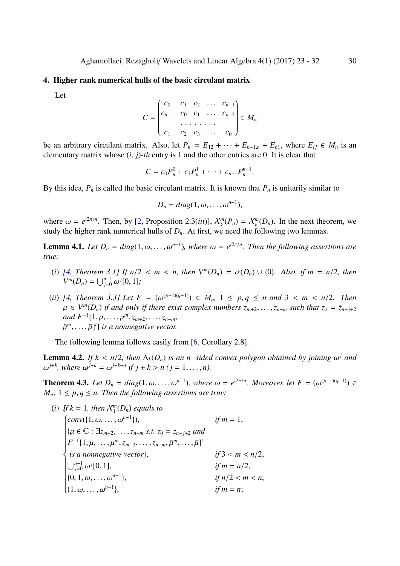#### 4. Higher rank numerical hulls of the basic circulant matrix

Let

$$
C = \begin{pmatrix} c_0 & c_1 & c_2 & \dots & c_{n-1} \\ c_{n-1} & c_0 & c_1 & \dots & c_{n-2} \\ \vdots & \vdots & \vdots & \ddots & \vdots \\ c_1 & c_2 & c_3 & \dots & c_0 \end{pmatrix} \in M_n
$$

be an arbitrary circulant matrix. Also, let  $P_n = E_{12} + \cdots + E_{n-1,n} + E_{n1}$ , where  $E_{ij} \in M_n$  is an elementary matrix whose (*i*, *j*)-*th* entry is 1 and the other entries are 0. It is clear that

$$
C = c_0 P_n^0 + c_1 P_n^1 + \cdots + c_{n-1} P_n^{n-1}.
$$

By this idea,  $P_n$  is called the basic circulant matrix. It is known that  $P_n$  is unitarily similar to

$$
D_n = diag(1, \omega, \ldots, \omega^{n-1}),
$$

where  $\omega = e^{i2\pi/n}$ . Then, by [2, Proposition 2.3(*iii*)],  $\mathcal{X}_k^m(P_n) = \mathcal{X}_k^m(D_n)$ . In the next theorem, we study the higher rank numerical hulls of  $D<sub>n</sub>$ . At first, we need the following two lemmas.

**Lemma 4.1.** Let  $D_n = diag(1, \omega, \ldots, \omega^{n-1})$ , where  $\omega = e^{i2\pi/n}$ . Then the following assertions are *true:*

- <span id="page-7-0"></span>(*i*) [4, Theorem 3.1] If  $n/2 < m < n$ , then  $V^m(D_n) = \sigma(D_n) \cup \{0\}$ . Also, if  $m = n/2$ , then  $V^m(D_n) = \bigcup_{j=0}^{n-1} \omega^j[0, 1]$ ;
- (*ii*) [4, Theorem 3.3] Let  $F = (\omega^{(p-1)(q-1)}) \in M_n$ , 1 ≤ p, q ≤ n and 3 < m < n/2. Then  $\mu$  ∈  $V^m(D_n)$  if and only if there exist complex numbers  $z_{m+2}, \ldots, z_{n-m}$  such that  $z_j = \overline{z}_{n-j+2}$  $and F^{-1}[1, \mu, \ldots, \mu^m, z_{m+2}, \ldots, z_{n-m}]$  $\bar{\mu}^m, \ldots, \bar{\mu}$ ]<sup>t</sup>} *is a nonnegative vector.*

The following lemma follows easily from [6, Corollary 2.8].

**Lemma 4.2.** If  $k < n/2$ , then  $\Lambda_k(D_n)$  is an *n*-sided convex polygon obtained by joining  $\omega^j$  and  $\omega^{j+k}$ , where  $\omega^{j+k} = \omega^{j+k-n}$  if  $j + k > n$  ( $j = 1, ..., n$ ).

<span id="page-7-1"></span>**Theorem 4.3.** Let  $D_n = diag(1, \omega, \ldots, \omega^{n-1})$ , where  $\omega = e^{i2\pi/n}$ . Moreover, let  $F = (\omega^{(p-1)(q-1)}) \in$  $M_n$ ;  $1 \leq p, q \leq n$ . Then the following assertions are true:

(i) If 
$$
k = 1
$$
, then  $X_1^m(D_n)$  equals to  
\n
$$
\begin{cases}\nconv({1, \omega, ..., \omega^{n-1}}), & \text{if } m = 1, \\
{\mu \in \mathbb{C} : \exists z_{m+2}, ..., z_{n-m} \text{ s.t. } z_j = \bar{z}_{n-j+2} \text{ and} \\
F^{-1}[1, \mu, ..., \mu^m, z_{m+2}, ..., z_{n-m}, \bar{\mu}^m, ..., \bar{\mu}]^t \\
\text{is a nonnegative vector}, & \text{if } 3 < m < n/2, \\
\bigcup_{j=0}^{n-1} \omega^j[0, 1], & \text{if } m = n/2, \\
{0, 1, \omega, ..., \omega^{n-1}}, & \text{if } n/2 < m < n, \\
{1, \omega, ..., \omega^{n-1}}, & \text{if } m = n;\n\end{cases}
$$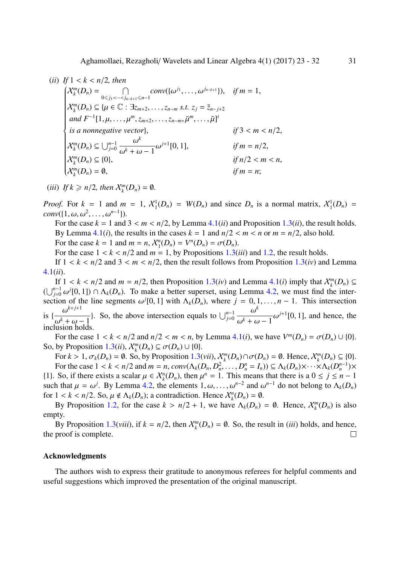(*ii*) *If* 1 < *k* < *n*/2*, then*  $\left(\mathcal{X}^m_k(D_n) = \bigcap_{n \geq 0}$  $\left\{ \begin{array}{c} \end{array} \right.$  0⩽*j*1<···<*jn*−*k*+1⩽*n*−1  $conv({\{\omega^{j_1}, \ldots, \omega^{j_{n-k+1}}\}}), \quad \text{if } m = 1,$  $X_k^m(D_n) \subseteq \{ \mu \in \mathbb{C} : \exists z_{m+2}, \ldots, z_{n-m} \text{ s.t. } z_j = \bar{z}_{n-j+2} \}$  $and F^{-1}[1, \mu, \ldots, \mu^m, z_{m+2}, \ldots, z_{n-m}, \bar{\mu}^m, \ldots, \bar{\mu}]^t$ *is a nonnegative vector*},  $if 3 < m < n/2$ ,  $\mathcal{X}_k^m(D_n) \subseteq \bigcup_{j=0}^{n-1}$ ω *k*  $\frac{\omega}{\omega^k + \omega - 1} \omega^{j+1} [0, 1],$  *if*  $m = n/2$ , X*<sup>m</sup> k* (*Dn*) ⊆ {0}, *if n*/2 < *m* < *n*,  $X_k^m(D_n) = \emptyset,$  *if*  $m = n$ ;

(iii) If 
$$
k \ge n/2
$$
, then  $X_k^m(D_n) = \emptyset$ .

*Proof.* For  $k = 1$  and  $m = 1$ ,  $\mathcal{X}_1^1(D_n) = W(D_n)$  and since  $D_n$  is a normal matrix,  $\mathcal{X}_1^1(D_n) =$  $conv({1, \omega, \omega^2, \ldots, \omega^{n-1}}).$ 

For the case  $k = 1$  and  $3 < m < n/2$ , by Lemma 4.1(*ii*) and Proposition 1.3(*ii*), the result holds. By Lemma 4.1(*i*), the results in the cases  $k = 1$  and  $n/2 < m < n$  or  $m = n/2$ , also hold. For the case  $k = 1$  and  $m = n$ ,  $X_1^n(D_n) = V^n(D_n) = \sigma(D_n)$ .

For the case  $1 < k < n/2$  and  $m = 1$ , by Proposi[tion](#page-7-0)s 1.3(*iii*) and 1.2, t[he re](#page-2-0)sult holds.

If  $1 < k < n/2$  $1 < k < n/2$  and  $3 < m < n/2$ , then the result follows from Proposition 1.3(*iv*) and Lemma 4.1(*ii*).

If  $1 < k < n/2$  and  $m = n/2$ , then Proposition 1.3(*iv*[\) an](#page-2-0)d Lemma [4](#page-2-1).1(*i*) imply that  $\mathcal{X}_k^m(D_n) \subseteq$  $(\bigcup_{j=0}^{n-1} \omega^j[0,1]) \cap \Lambda_k(D_n)$ . To make a better superset, using Lemma 4.2, we [mus](#page-2-0)t find the inter[sec](#page-7-0)tion of the line segments  $\omega^j[0,1]$  with  $\Lambda_k(D_n)$ , where  $j = 0, 1, \ldots, n-1$ . This intersection is  $\left\{\frac{\omega^{k+j+1}}{k}\right\}$  $\frac{\omega}{\omega^k + \omega - 1}$ . So, the above intersection equal[s to](#page-2-0)  $\bigcup_{j=0}^{n-1}$ ω *k*  $\frac{\omega}{\omega^k + \omega - 1} \omega^{j+1} [0, 1]$  $\frac{\omega}{\omega^k + \omega - 1} \omega^{j+1} [0, 1]$  $\frac{\omega}{\omega^k + \omega - 1} \omega^{j+1} [0, 1]$ , and hence, the inclusion holds.

For the case  $1 < k < n/2$  and  $n/2 < m < n$ , by Lemma 4.1(*i*), we have  $V^m(D_n) = \sigma(D_n) \cup \{0\}$ . So, by Proposition  $1.3(ii)$ ,  $\mathcal{X}_k^m(D_n) \subseteq \sigma(D_n) \cup \{0\}.$ 

For  $k > 1$ ,  $\sigma_k(D_n) = \emptyset$ . So, by Proposition 1.3(*vii*),  $X_k^m(D_n) \cap \sigma(D_n) = \emptyset$ . Hence,  $X_k^m(D_n) \subseteq \{0\}$ . For the case  $1 < k < n/2$  and  $m = n$ ,  $conv(\Lambda_k(D_n, D_n^2, \dots, D_n^n = I_n)) \subseteq \Lambda_k(D_n) \times \dots \times \Lambda_k(D_n^{n-1}) \times$ {1}. So, if there ex[ists](#page-2-0) a scalar  $\mu \in \mathcal{X}_k^n(D_n)$ , then  $\mu^n = 1$ . This means that there is a  $0 \le j \le n - 1$ such that  $\mu = \omega^j$ . By Lemma 4.2, the elements  $1, \omega, \ldots, \omega^{n-2}$  and  $\omega^{n-1}$  do not belong to  $\Lambda_k(D_n)$ for  $1 < k < n/2$ . So,  $\mu \notin \Lambda_k(D_n)$ ; a contradiction. Hence  $\mathcal{X}_k^n(D_n) = \emptyset$ .

By Proposition 1.2, for the case  $k > n/2 + 1$ , we have  $\Lambda_k(D_n) = \emptyset$ . Hence,  $\mathcal{X}_k^m(D_n)$  is also empty.

By Proposition 1.3(*viii*), if  $k = n/2$  $k = n/2$ , then  $\mathcal{X}_k^m(D_n) = \emptyset$ . So, the result in (*iii*) holds, and hence, the proof is comple[te.](#page-2-1)  $\Box$ 

#### Acknowledgment[s](#page-2-0)

The authors wish to express their gratitude to anonymous referees for helpful comments and useful suggestions which improved the presentation of the original manuscript.